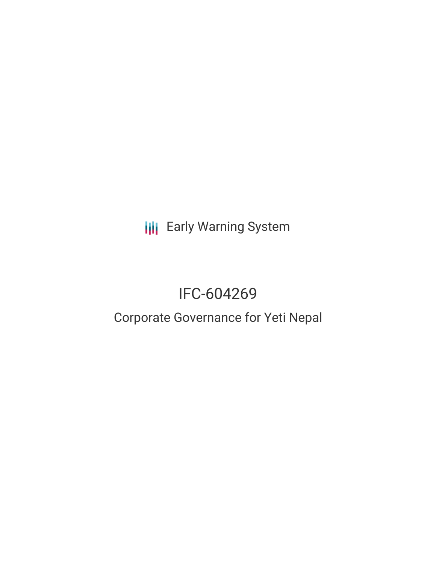**III** Early Warning System

# IFC-604269

# Corporate Governance for Yeti Nepal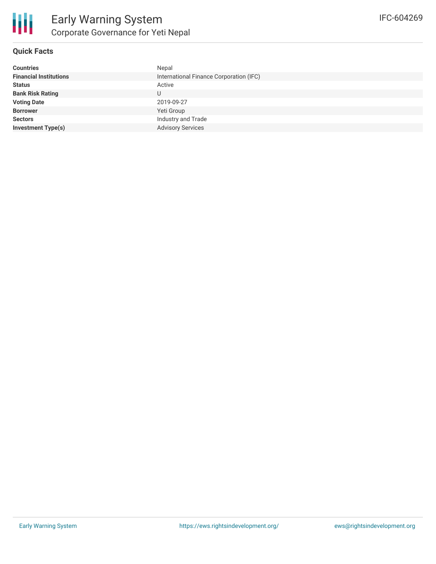

#### **Quick Facts**

| <b>Countries</b>              | Nepal                                   |
|-------------------------------|-----------------------------------------|
| <b>Financial Institutions</b> | International Finance Corporation (IFC) |
| <b>Status</b>                 | Active                                  |
| <b>Bank Risk Rating</b>       | U                                       |
| <b>Voting Date</b>            | 2019-09-27                              |
| <b>Borrower</b>               | Yeti Group                              |
| <b>Sectors</b>                | Industry and Trade                      |
| <b>Investment Type(s)</b>     | <b>Advisory Services</b>                |
|                               |                                         |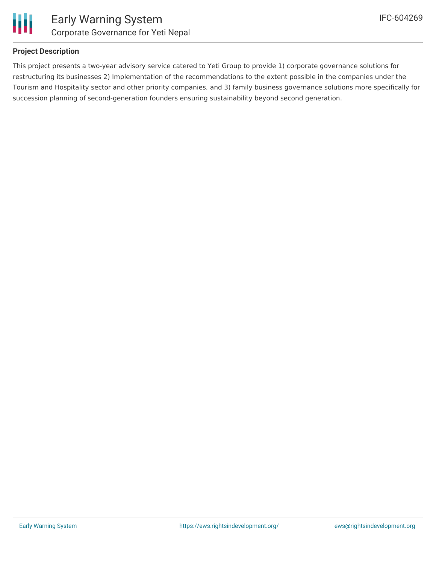

### **Project Description**

This project presents a two-year advisory service catered to Yeti Group to provide 1) corporate governance solutions for restructuring its businesses 2) Implementation of the recommendations to the extent possible in the companies under the Tourism and Hospitality sector and other priority companies, and 3) family business governance solutions more specifically for succession planning of second-generation founders ensuring sustainability beyond second generation.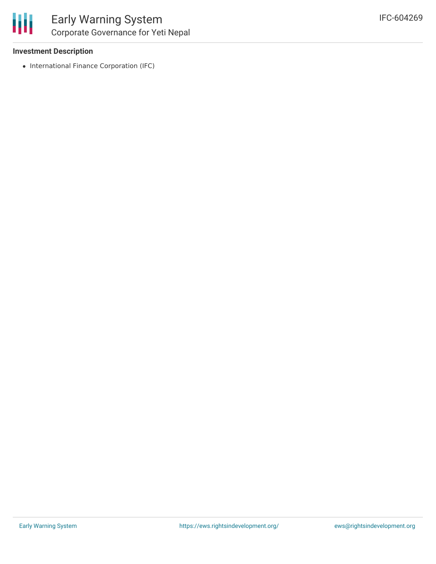

#### **Investment Description**

• International Finance Corporation (IFC)